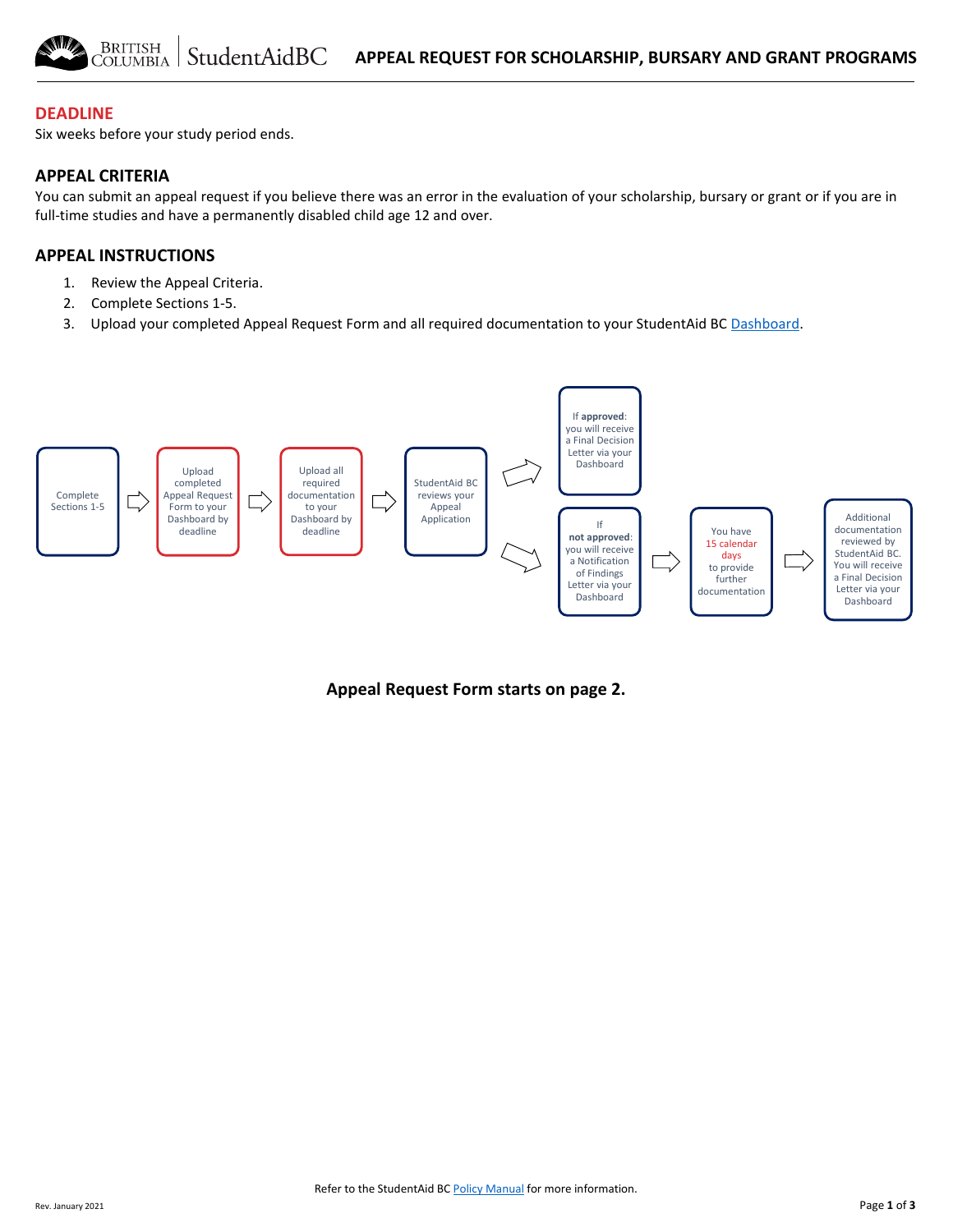### **DEADLINE**

Six weeks before your study period ends.

#### **APPEAL CRITERIA**

You can submit an appeal request if you believe there was an error in the evaluation of your scholarship, bursary or grant or if you are in full-time studies and have a permanently disabled child age 12 and over.

### **APPEAL INSTRUCTIONS**

- 1. Review the Appeal Criteria.
- 2. Complete Sections 1-5.
- 3. Upload your completed Appeal Request Form and all required documentation to your StudentAid BC [Dashboard.](https://studentaidbc.ca/dashboard)



**Appeal Request Form starts on page 2.**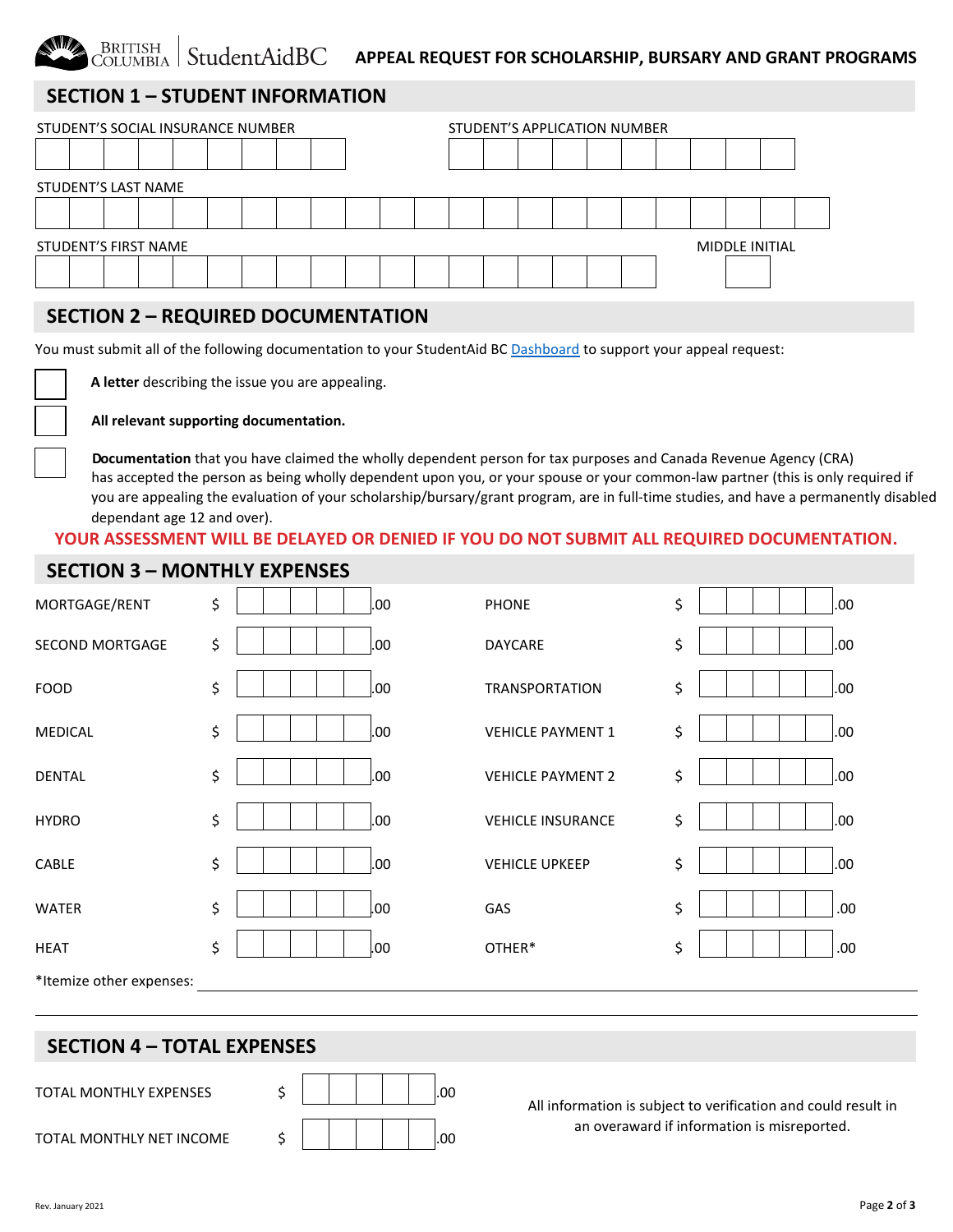## **SECTION 1 – STUDENT INFORMATION**

BRITISH<br>COLUMBIA

| STUDENT'S SOCIAL INSURANCE NUMBER |                     |  |  |  |  |  |  | STUDENT'S APPLICATION NUMBER |  |  |  |  |  |  |  |  |  |                       |  |
|-----------------------------------|---------------------|--|--|--|--|--|--|------------------------------|--|--|--|--|--|--|--|--|--|-----------------------|--|
|                                   |                     |  |  |  |  |  |  |                              |  |  |  |  |  |  |  |  |  |                       |  |
|                                   | STUDENT'S LAST NAME |  |  |  |  |  |  |                              |  |  |  |  |  |  |  |  |  |                       |  |
|                                   |                     |  |  |  |  |  |  |                              |  |  |  |  |  |  |  |  |  |                       |  |
| <b>STUDENT'S FIRST NAME</b>       |                     |  |  |  |  |  |  |                              |  |  |  |  |  |  |  |  |  | <b>MIDDLE INITIAL</b> |  |
|                                   |                     |  |  |  |  |  |  |                              |  |  |  |  |  |  |  |  |  |                       |  |

### **SECTION 2 – REQUIRED DOCUMENTATION**

You must submit all of the following documentation to your StudentAid BC [Dashboard](https://studentaidbc.ca/dashboard) to support your appeal request:

 **A letter** describing the issue you are appealing.

All relevant supporting documentation.

**Documentation** that you have claimed the wholly dependent person for tax purposes and Canada Revenue Agency (CRA) has accepted the person as being wholly dependent upon you, or your spouse or your common-law partner (this is only required if you are appealing the evaluation of your scholarship/bursary/grant program, are in full-time studies, and have a permanently disabled dependant age 12 and over).

# **YOUR ASSESSMENT WILL BE DELAYED OR DENIED IF YOU DO NOT SUBMIT ALL REQUIRED DOCUMENTATION.**

### **SECTION 3 – MONTHLY EXPENSES**

| MORTGAGE/RENT            | \$<br>.00  | <b>PHONE</b>             | \$<br>.00. |
|--------------------------|------------|--------------------------|------------|
| <b>SECOND MORTGAGE</b>   | \$<br>.00. | <b>DAYCARE</b>           | \$<br>.00. |
| <b>FOOD</b>              | \$<br>.00. | <b>TRANSPORTATION</b>    | \$<br>.00. |
| <b>MEDICAL</b>           | \$<br>.00. | <b>VEHICLE PAYMENT 1</b> | \$<br>.00. |
| <b>DENTAL</b>            | \$<br>.00. | <b>VEHICLE PAYMENT 2</b> | \$<br>.00. |
| <b>HYDRO</b>             | \$<br>.00. | <b>VEHICLE INSURANCE</b> | \$<br>.00. |
| CABLE                    | \$<br>.00. | <b>VEHICLE UPKEEP</b>    | \$<br>.00. |
| <b>WATER</b>             | \$<br>.00. | GAS                      | \$<br>.00. |
| <b>HEAT</b>              | \$<br>.00. | OTHER*                   | \$<br>.00. |
| *Itemize other expenses: |            |                          |            |

### **SECTION 4 – TOTAL EXPENSES**

TOTAL MONTHLY EXPENSES 5 | | | | | 00

| TOTAL MONTHLY NET INCOME |  |  |
|--------------------------|--|--|
|                          |  |  |



All information is subject to verification and could result in an overaward if information is misreported.